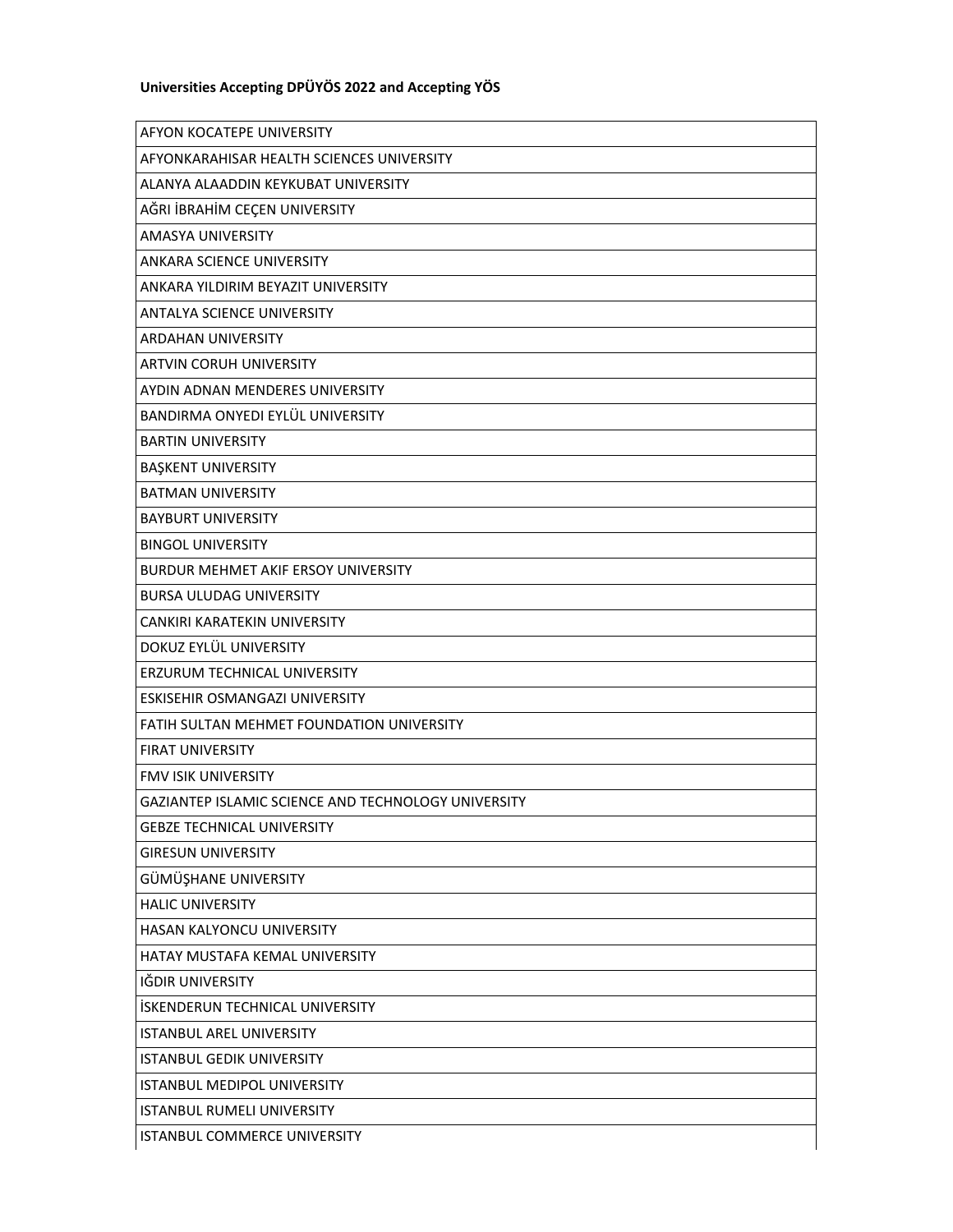## **Universities Accepting DPÜYÖS 2022 and Accepting YÖS**

| AFYON KOCATEPE UNIVERSITY                           |
|-----------------------------------------------------|
| AFYONKARAHISAR HEALTH SCIENCES UNIVERSITY           |
| ALANYA ALAADDIN KEYKUBAT UNIVERSITY                 |
| AĞRI İBRAHİM CEÇEN UNIVERSITY                       |
| <b>AMASYA UNIVERSITY</b>                            |
| ANKARA SCIENCE UNIVERSITY                           |
| ANKARA YILDIRIM BEYAZIT UNIVERSITY                  |
| ANTALYA SCIENCE UNIVERSITY                          |
| <b>ARDAHAN UNIVERSITY</b>                           |
| <b>ARTVIN CORUH UNIVERSITY</b>                      |
| AYDIN ADNAN MENDERES UNIVERSITY                     |
| BANDIRMA ONYEDI EYLÜL UNIVERSITY                    |
| <b>BARTIN UNIVERSITY</b>                            |
| <b>BAŞKENT UNIVERSITY</b>                           |
| <b>BATMAN UNIVERSITY</b>                            |
| <b>BAYBURT UNIVERSITY</b>                           |
| <b>BINGOL UNIVERSITY</b>                            |
| <b>BURDUR MEHMET AKIF ERSOY UNIVERSITY</b>          |
| <b>BURSA ULUDAG UNIVERSITY</b>                      |
| CANKIRI KARATEKIN UNIVERSITY                        |
|                                                     |
| DOKUZ EYLÜL UNIVERSITY                              |
| ERZURUM TECHNICAL UNIVERSITY                        |
| ESKISEHIR OSMANGAZI UNIVERSITY                      |
| FATIH SULTAN MEHMET FOUNDATION UNIVERSITY           |
| <b>FIRAT UNIVERSITY</b>                             |
| <b>FMV ISIK UNIVERSITY</b>                          |
| GAZIANTEP ISLAMIC SCIENCE AND TECHNOLOGY UNIVERSITY |
| <b>GEBZE TECHNICAL UNIVERSITY</b>                   |
| <b>GIRESUN UNIVERSITY</b>                           |
| GÜMÜŞHANE UNIVERSITY                                |
| <b>HALIC UNIVERSITY</b>                             |
| HASAN KALYONCU UNIVERSITY                           |
| HATAY MUSTAFA KEMAL UNIVERSITY                      |
| IĞDIR UNIVERSITY                                    |
| <b>İSKENDERUN TECHNICAL UNIVERSITY</b>              |
| <b>ISTANBUL AREL UNIVERSITY</b>                     |
| <b>ISTANBUL GEDIK UNIVERSITY</b>                    |
| ISTANBUL MEDIPOL UNIVERSITY                         |
| ISTANBUL RUMELI UNIVERSITY                          |